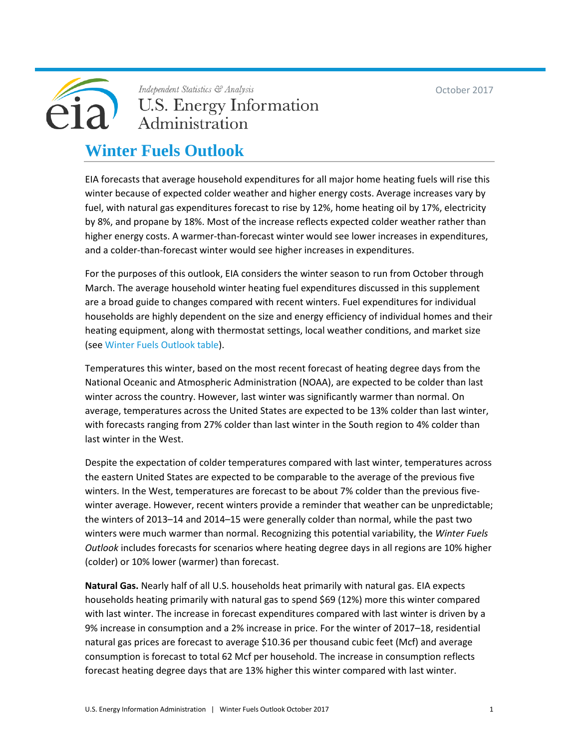October 2017



Independent Statistics & Analysis **U.S. Energy Information** Administration

#### **Winter Fuels Outlook**

EIA forecasts that average household expenditures for all major home heating fuels will rise this winter because of expected colder weather and higher energy costs. Average increases vary by fuel, with natural gas expenditures forecast to rise by 12%, home heating oil by 17%, electricity by 8%, and propane by 18%. Most of the increase reflects expected colder weather rather than higher energy costs. A warmer-than-forecast winter would see lower increases in expenditures, and a colder-than-forecast winter would see higher increases in expenditures.

For the purposes of this outlook, EIA considers the winter season to run from October through March. The average household winter heating fuel expenditures discussed in this supplement are a broad guide to changes compared with recent winters. Fuel expenditures for individual households are highly dependent on the size and energy efficiency of individual homes and their heating equipment, along with thermostat settings, local weather conditions, and market size (see [Winter Fuels Outlook table\)](http://www.eia.gov/forecasts/steo/tables/pdf/wf-table.pdf).

Temperatures this winter, based on the most recent forecast of heating degree days from the National Oceanic and Atmospheric Administration (NOAA), are expected to be colder than last winter across the country. However, last winter was significantly warmer than normal. On average, temperatures across the United States are expected to be 13% colder than last winter, with forecasts ranging from 27% colder than last winter in the South region to 4% colder than last winter in the West.

Despite the expectation of colder temperatures compared with last winter, temperatures across the eastern United States are expected to be comparable to the average of the previous five winters. In the West, temperatures are forecast to be about 7% colder than the previous fivewinter average. However, recent winters provide a reminder that weather can be unpredictable; the winters of 2013–14 and 2014–15 were generally colder than normal, while the past two winters were much warmer than normal. Recognizing this potential variability, the *Winter Fuels Outlook* includes forecasts for scenarios where heating degree days in all regions are 10% higher (colder) or 10% lower (warmer) than forecast.

**Natural Gas.** Nearly half of all U.S. households heat primarily with natural gas. EIA expects households heating primarily with natural gas to spend \$69 (12%) more this winter compared with last winter. The increase in forecast expenditures compared with last winter is driven by a 9% increase in consumption and a 2% increase in price. For the winter of 2017–18, residential natural gas prices are forecast to average \$10.36 per thousand cubic feet (Mcf) and average consumption is forecast to total 62 Mcf per household. The increase in consumption reflects forecast heating degree days that are 13% higher this winter compared with last winter.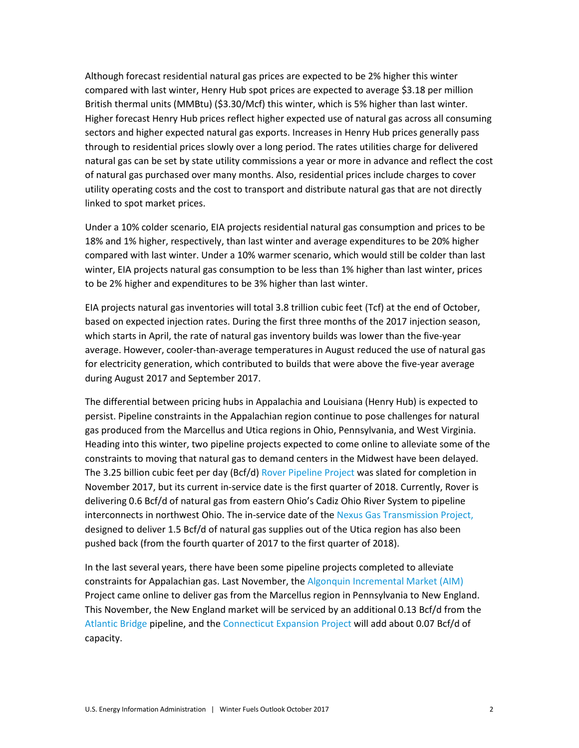Although forecast residential natural gas prices are expected to be 2% higher this winter compared with last winter, Henry Hub spot prices are expected to average \$3.18 per million British thermal units (MMBtu) (\$3.30/Mcf) this winter, which is 5% higher than last winter. Higher forecast Henry Hub prices reflect higher expected use of natural gas across all consuming sectors and higher expected natural gas exports. Increases in Henry Hub prices generally pass through to residential prices slowly over a long period. The rates utilities charge for delivered natural gas can be set by state utility commissions a year or more in advance and reflect the cost of natural gas purchased over many months. Also, residential prices include charges to cover utility operating costs and the cost to transport and distribute natural gas that are not directly linked to spot market prices.

Under a 10% colder scenario, EIA projects residential natural gas consumption and prices to be 18% and 1% higher, respectively, than last winter and average expenditures to be 20% higher compared with last winter. Under a 10% warmer scenario, which would still be colder than last winter, EIA projects natural gas consumption to be less than 1% higher than last winter, prices to be 2% higher and expenditures to be 3% higher than last winter.

EIA projects natural gas inventories will total 3.8 trillion cubic feet (Tcf) at the end of October, based on expected injection rates. During the first three months of the 2017 injection season, which starts in April, the rate of natural gas inventory builds was lower than the five-year average. However, cooler-than-average temperatures in August reduced the use of natural gas for electricity generation, which contributed to builds that were above the five-year average during August 2017 and September 2017.

The differential between pricing hubs in Appalachia and Louisiana (Henry Hub) is expected to persist. Pipeline constraints in the Appalachian region continue to pose challenges for natural gas produced from the Marcellus and Utica regions in Ohio, Pennsylvania, and West Virginia. Heading into this winter, two pipeline projects expected to come online to alleviate some of the constraints to moving that natural gas to demand centers in the Midwest have been delayed. The 3.25 billion cubic feet per day (Bcf/d[\) Rover Pipeline Project](http://www.roverpipelinefacts.com/) was slated for completion in November 2017, but its current in-service date is the first quarter of 2018. Currently, Rover is delivering 0.6 Bcf/d of natural gas from eastern Ohio's Cadiz Ohio River System to pipeline interconnects in northwest Ohio. The in-service date of the [Nexus Gas Transmission Project,](http://www.enbridge.com/projects-and-infrastructure/projects/nexus-gas-transmission) designed to deliver 1.5 Bcf/d of natural gas supplies out of the Utica region has also been pushed back (from the fourth quarter of 2017 to the first quarter of 2018).

In the last several years, there have been some pipeline projects completed to alleviate constraints for Appalachian gas. Last November, the [Algonquin Incremental Market \(AIM\)](https://www.eia.gov/todayinenergy/detail.php?id=29032) Project came online to deliver gas from the Marcellus region in Pennsylvania to New England. This November, the New England market will be serviced by an additional 0.13 Bcf/d from the [Atlantic Bridge](https://www.enbridge.com/projects-and-infrastructure/projects/atlantic-bridge) pipeline, and the [Connecticut Expansion Project](https://www.kindermorgan.com/business/gas_pipelines/east/connecticut/) will add about 0.07 Bcf/d of capacity.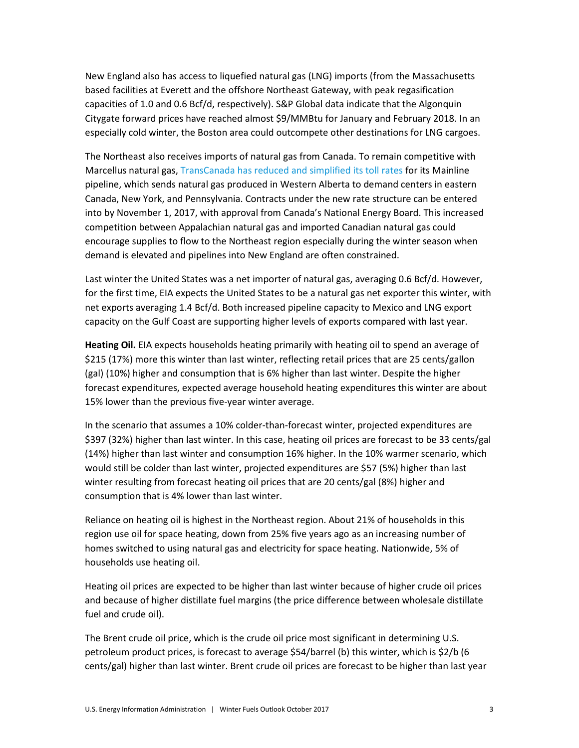New England also has access to liquefied natural gas (LNG) imports (from the Massachusetts based facilities at Everett and the offshore Northeast Gateway, with peak regasification capacities of 1.0 and 0.6 Bcf/d, respectively). S&P Global data indicate that the Algonquin Citygate forward prices have reached almost \$9/MMBtu for January and February 2018. In an especially cold winter, the Boston area could outcompete other destinations for LNG cargoes.

The Northeast also receives imports of natural gas from Canada. To remain competitive with Marcellus natural gas, [TransCanada has reduced and simplified its toll rates](https://www.eia.gov/naturalgas/weekly/archivenew_ngwu/2017/03_23/) for its Mainline pipeline, which sends natural gas produced in Western Alberta to demand centers in eastern Canada, New York, and Pennsylvania. Contracts under the new rate structure can be entered into by November 1, 2017, with approval from Canada's National Energy Board. This increased competition between Appalachian natural gas and imported Canadian natural gas could encourage supplies to flow to the Northeast region especially during the winter season when demand is elevated and pipelines into New England are often constrained.

Last winter the United States was a net importer of natural gas, averaging 0.6 Bcf/d. However, for the first time, EIA expects the United States to be a natural gas net exporter this winter, with net exports averaging 1.4 Bcf/d. Both increased pipeline capacity to Mexico and LNG export capacity on the Gulf Coast are supporting higher levels of exports compared with last year.

**Heating Oil.** EIA expects households heating primarily with heating oil to spend an average of \$215 (17%) more this winter than last winter, reflecting retail prices that are 25 cents/gallon (gal) (10%) higher and consumption that is 6% higher than last winter. Despite the higher forecast expenditures, expected average household heating expenditures this winter are about 15% lower than the previous five-year winter average.

In the scenario that assumes a 10% colder-than-forecast winter, projected expenditures are \$397 (32%) higher than last winter. In this case, heating oil prices are forecast to be 33 cents/gal (14%) higher than last winter and consumption 16% higher. In the 10% warmer scenario, which would still be colder than last winter, projected expenditures are \$57 (5%) higher than last winter resulting from forecast heating oil prices that are 20 cents/gal (8%) higher and consumption that is 4% lower than last winter.

Reliance on heating oil is highest in the Northeast region. About 21% of households in this region use oil for space heating, down from 25% five years ago as an increasing number of homes switched to using natural gas and electricity for space heating. Nationwide, 5% of households use heating oil.

Heating oil prices are expected to be higher than last winter because of higher crude oil prices and because of higher distillate fuel margins (the price difference between wholesale distillate fuel and crude oil).

The Brent crude oil price, which is the crude oil price most significant in determining U.S. petroleum product prices, is forecast to average \$54/barrel (b) this winter, which is \$2/b (6 cents/gal) higher than last winter. Brent crude oil prices are forecast to be higher than last year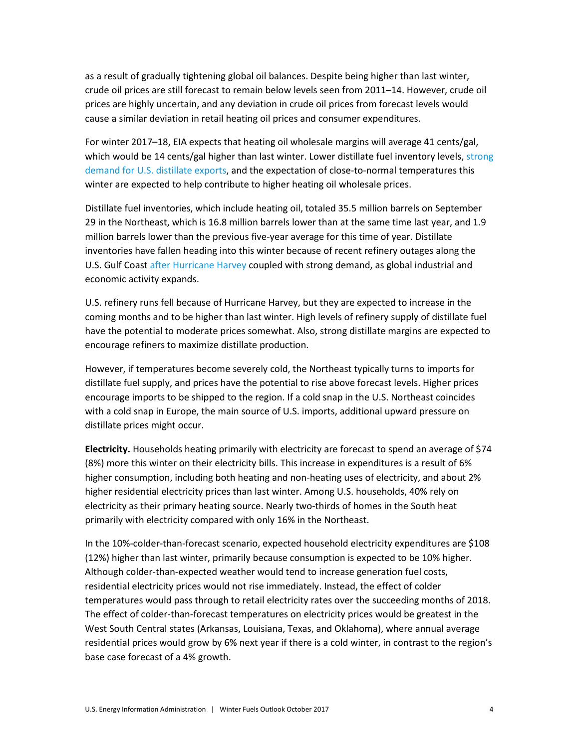as a result of gradually tightening global oil balances. Despite being higher than last winter, crude oil prices are still forecast to remain below levels seen from 2011–14. However, crude oil prices are highly uncertain, and any deviation in crude oil prices from forecast levels would cause a similar deviation in retail heating oil prices and consumer expenditures.

For winter 2017–18, EIA expects that heating oil wholesale margins will average 41 cents/gal, which would be 14 cents/gal higher than last winter. Lower distillate fuel inventory levels, strong [demand for U.S. distillate exports,](https://www.eia.gov/petroleum/weekly/archive/2017/170927/includes/analysis_print.php) and the expectation of close-to-normal temperatures this winter are expected to help contribute to higher heating oil wholesale prices.

Distillate fuel inventories, which include heating oil, totaled 35.5 million barrels on September 29 in the Northeast, which is 16.8 million barrels lower than at the same time last year, and 1.9 million barrels lower than the previous five-year average for this time of year. Distillate inventories have fallen heading into this winter because of recent refinery outages along the U.S. Gulf Coas[t after Hurricane Harvey](https://www.eia.gov/todayinenergy/detail.php?id=32852) coupled with strong demand, as global industrial and economic activity expands.

U.S. refinery runs fell because of Hurricane Harvey, but they are expected to increase in the coming months and to be higher than last winter. High levels of refinery supply of distillate fuel have the potential to moderate prices somewhat. Also, strong distillate margins are expected to encourage refiners to maximize distillate production.

However, if temperatures become severely cold, the Northeast typically turns to imports for distillate fuel supply, and prices have the potential to rise above forecast levels. Higher prices encourage imports to be shipped to the region. If a cold snap in the U.S. Northeast coincides with a cold snap in Europe, the main source of U.S. imports, additional upward pressure on distillate prices might occur.

**Electricity.** Households heating primarily with electricity are forecast to spend an average of \$74 (8%) more this winter on their electricity bills. This increase in expenditures is a result of 6% higher consumption, including both heating and non-heating uses of electricity, and about 2% higher residential electricity prices than last winter. Among U.S. households, 40% rely on electricity as their primary heating source. Nearly two-thirds of homes in the South heat primarily with electricity compared with only 16% in the Northeast.

In the 10%-colder-than-forecast scenario, expected household electricity expenditures are \$108 (12%) higher than last winter, primarily because consumption is expected to be 10% higher. Although colder-than-expected weather would tend to increase generation fuel costs, residential electricity prices would not rise immediately. Instead, the effect of colder temperatures would pass through to retail electricity rates over the succeeding months of 2018. The effect of colder-than-forecast temperatures on electricity prices would be greatest in the West South Central states (Arkansas, Louisiana, Texas, and Oklahoma), where annual average residential prices would grow by 6% next year if there is a cold winter, in contrast to the region's base case forecast of a 4% growth.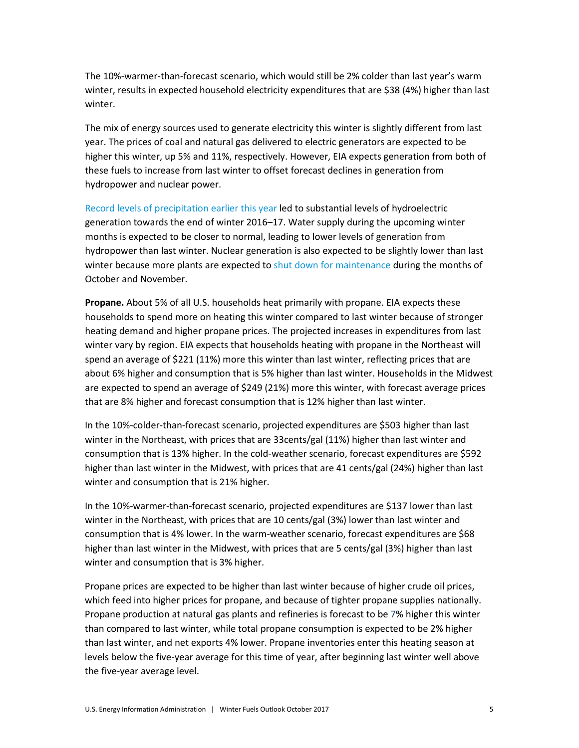The 10%-warmer-than-forecast scenario, which would still be 2% colder than last year's warm winter, results in expected household electricity expenditures that are \$38 (4%) higher than last winter.

The mix of energy sources used to generate electricity this winter is slightly different from last year. The prices of coal and natural gas delivered to electric generators are expected to be higher this winter, up 5% and 11%, respectively. However, EIA expects generation from both of these fuels to increase from last winter to offset forecast declines in generation from hydropower and nuclear power.

[Record levels of precipitation earlier this year](https://www.eia.gov/todayinenergy/detail.php?id=30452) led to substantial levels of hydroelectric generation towards the end of winter 2016–17. Water supply during the upcoming winter months is expected to be closer to normal, leading to lower levels of generation from hydropower than last winter. Nuclear generation is also expected to be slightly lower than last winter because more plants are expected t[o shut down for maintenance](https://www.eia.gov/todayinenergy/detail.php?id=33112) during the months of October and November.

**Propane.** About 5% of all U.S. households heat primarily with propane. EIA expects these households to spend more on heating this winter compared to last winter because of stronger heating demand and higher propane prices. The projected increases in expenditures from last winter vary by region. EIA expects that households heating with propane in the Northeast will spend an average of \$221 (11%) more this winter than last winter, reflecting prices that are about 6% higher and consumption that is 5% higher than last winter. Households in the Midwest are expected to spend an average of \$249 (21%) more this winter, with forecast average prices that are 8% higher and forecast consumption that is 12% higher than last winter.

In the 10%-colder-than-forecast scenario, projected expenditures are \$503 higher than last winter in the Northeast, with prices that are 33cents/gal (11%) higher than last winter and consumption that is 13% higher. In the cold-weather scenario, forecast expenditures are \$592 higher than last winter in the Midwest, with prices that are 41 cents/gal (24%) higher than last winter and consumption that is 21% higher.

In the 10%-warmer-than-forecast scenario, projected expenditures are \$137 lower than last winter in the Northeast, with prices that are 10 cents/gal (3%) lower than last winter and consumption that is 4% lower. In the warm-weather scenario, forecast expenditures are \$68 higher than last winter in the Midwest, with prices that are 5 cents/gal (3%) higher than last winter and consumption that is 3% higher.

Propane prices are expected to be higher than last winter because of higher crude oil prices, which feed into higher prices for propane, and because of tighter propane supplies nationally. Propane production at natural gas plants and refineries is forecast to be 7% higher this winter than compared to last winter, while total propane consumption is expected to be 2% higher than last winter, and net exports 4% lower. Propane inventories enter this heating season at levels below the five-year average for this time of year, after beginning last winter well above the five-year average level.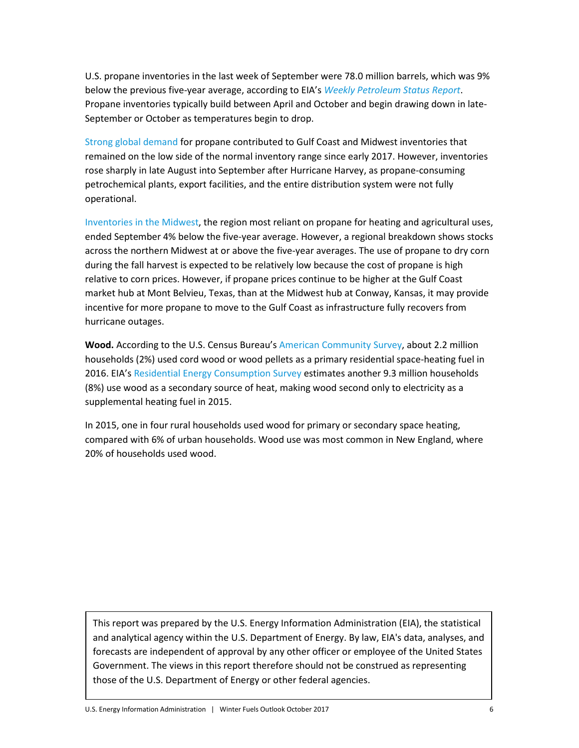U.S. propane inventories in the last week of September were 78.0 million barrels, which was 9% below the previous five-year average, according to EIA's *[Weekly Petroleum Status Report](https://www.eia.gov/petroleum/supply/weekly/)*. Propane inventories typically build between April and October and begin drawing down in late-September or October as temperatures begin to drop.

[Strong global demand](https://www.eia.gov/petroleum/weekly/archive/2017/170927/includes/analysis_print.php) for propane contributed to Gulf Coast and Midwest inventories that remained on the low side of the normal inventory range since early 2017. However, inventories rose sharply in late August into September after Hurricane Harvey, as propane-consuming petrochemical plants, export facilities, and the entire distribution system were not fully operational.

[Inventories in the Midwest,](https://www.eia.gov/petroleum/weekly/archive/2017/171004/includes/analysis_print.php) the region most reliant on propane for heating and agricultural uses, ended September 4% below the five-year average. However, a regional breakdown shows stocks across the northern Midwest at or above the five-year averages. The use of propane to dry corn during the fall harvest is expected to be relatively low because the cost of propane is high relative to corn prices. However, if propane prices continue to be higher at the Gulf Coast market hub at Mont Belvieu, Texas, than at the Midwest hub at Conway, Kansas, it may provide incentive for more propane to move to the Gulf Coast as infrastructure fully recovers from hurricane outages.

**Wood.** According to the U.S. Census Bureau's [American Community Survey,](https://factfinder.census.gov/faces/tableservices/jsf/pages/productview.xhtml?pid=ACS_16_1YR_B25040&prodType=table) about 2.2 million households (2%) used cord wood or wood pellets as a primary residential space-heating fuel in 2016. EIA'[s Residential Energy Consumption Survey](https://www.eia.gov/consumption/residential/data/2015/hc/php/hc6.1.php) estimates another 9.3 million households (8%) use wood as a secondary source of heat, making wood second only to electricity as a supplemental heating fuel in 2015.

In 2015, one in four rural households used wood for primary or secondary space heating, compared with 6% of urban households. Wood use was most common in New England, where 20% of households used wood.

This report was prepared by the U.S. Energy Information Administration (EIA), the statistical and analytical agency within the U.S. Department of Energy. By law, EIA's data, analyses, and forecasts are independent of approval by any other officer or employee of the United States Government. The views in this report therefore should not be construed as representing those of the U.S. Department of Energy or other federal agencies.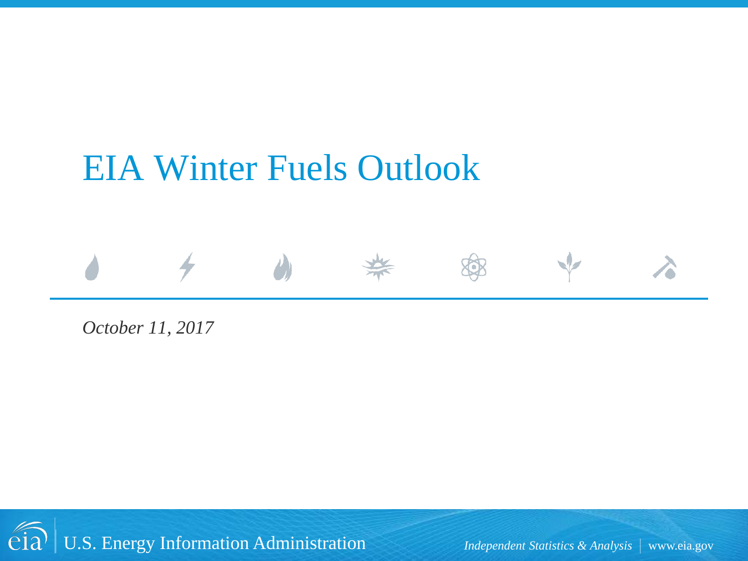## EIA Winter Fuels Outlook



*October 11, 2017* 

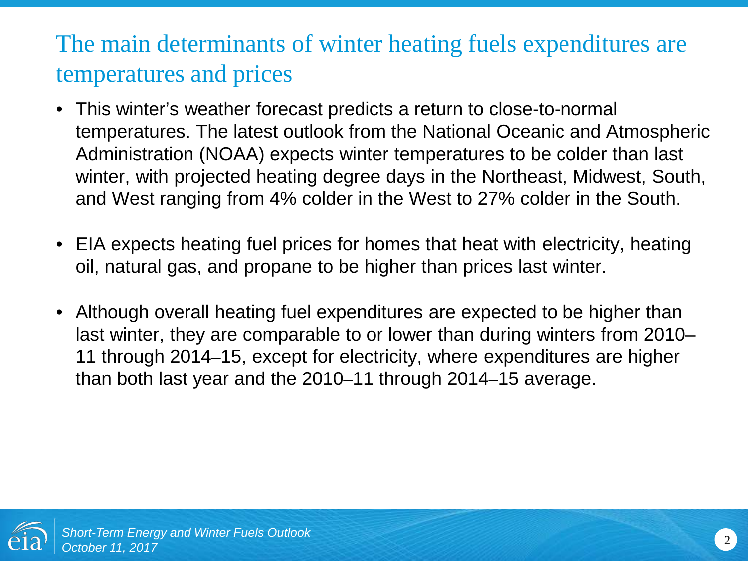## The main determinants of winter heating fuels expenditures are temperatures and prices

- This winter's weather forecast predicts a return to close-to-normal temperatures. The latest outlook from the National Oceanic and Atmospheric Administration (NOAA) expects winter temperatures to be colder than last winter, with projected heating degree days in the Northeast, Midwest, South, and West ranging from 4% colder in the West to 27% colder in the South.
- EIA expects heating fuel prices for homes that heat with electricity, heating oil, natural gas, and propane to be higher than prices last winter.
- Although overall heating fuel expenditures are expected to be higher than last winter, they are comparable to or lower than during winters from 2010– 11 through 2014–15, except for electricity, where expenditures are higher than both last year and the 2010–11 through 2014–15 average.

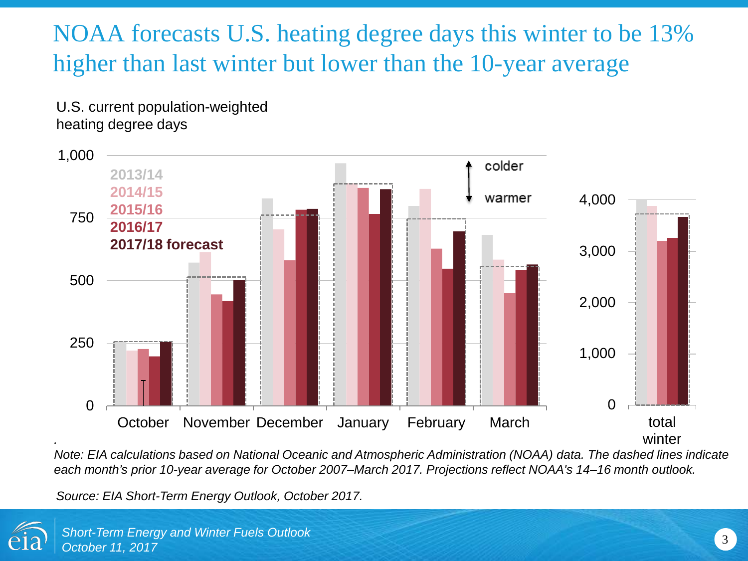## NOAA forecasts U.S. heating degree days this winter to be 13% higher than last winter but lower than the 10-year average

U.S. current population-weighted heating degree days



*Note: EIA calculations based on National Oceanic and Atmospheric Administration (NOAA) data. The dashed lines indicate each month's prior 10-year average for October 2007–March 2017. Projections reflect NOAA's 14–16 month outlook.*

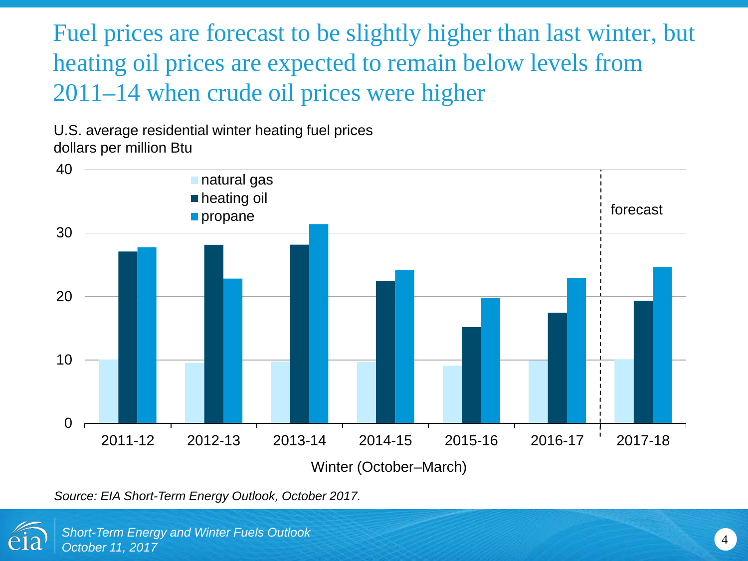Fuel prices are forecast to be slightly higher than last winter, but heating oil prices are expected to remain below levels from 2011*–*14 when crude oil prices were higher

U.S. average residential winter heating fuel prices dollars per million Btu



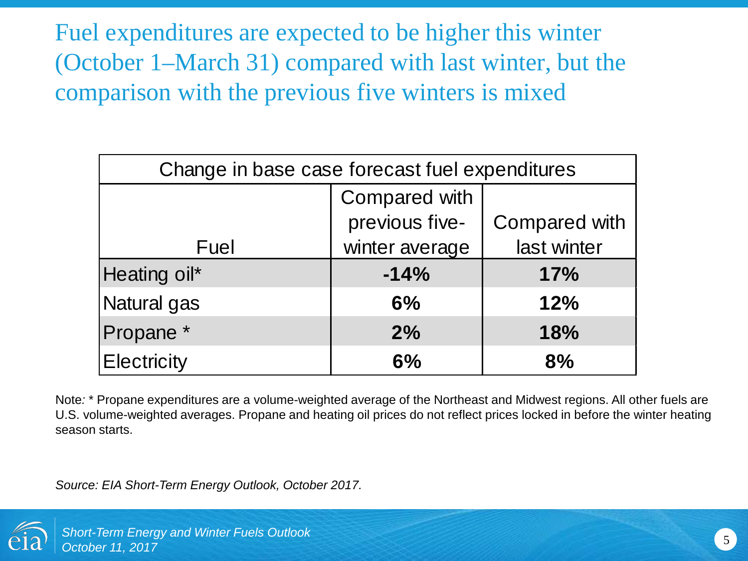Fuel expenditures are expected to be higher this winter (October 1–March 31) compared with last winter, but the comparison with the previous five winters is mixed

| Change in base case forecast fuel expenditures |                      |                      |  |
|------------------------------------------------|----------------------|----------------------|--|
|                                                | <b>Compared with</b> |                      |  |
|                                                | previous five-       | <b>Compared with</b> |  |
| Fuel                                           | winter average       | last winter          |  |
| Heating oil*                                   | $-14%$               | 17%                  |  |
| Natural gas                                    | 6%                   | 12%                  |  |
| Propane <sup>*</sup>                           | 2%                   | 18%                  |  |
| <b>Electricity</b>                             | 6%                   | 8%                   |  |

Note*:* \* Propane expenditures are a volume-weighted average of the Northeast and Midwest regions. All other fuels are U.S. volume-weighted averages. Propane and heating oil prices do not reflect prices locked in before the winter heating season starts.

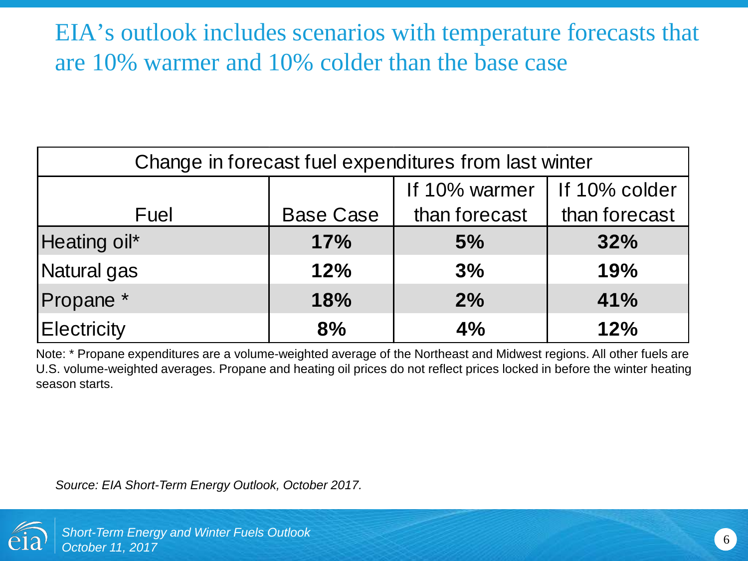### EIA's outlook includes scenarios with temperature forecasts that are 10% warmer and 10% colder than the base case

| Change in forecast fuel expenditures from last winter |                  |               |               |
|-------------------------------------------------------|------------------|---------------|---------------|
|                                                       |                  | If 10% warmer | If 10% colder |
| Fuel                                                  | <b>Base Case</b> | than forecast | than forecast |
| Heating oil*                                          | 17%              | 5%            | 32%           |
| Natural gas                                           | 12%              | 3%            | 19%           |
| Propane <sup>*</sup>                                  | 18%              | 2%            | 41%           |
| <b>Electricity</b>                                    | 8%               | 4%            | 12%           |

Note: \* Propane expenditures are a volume-weighted average of the Northeast and Midwest regions. All other fuels are U.S. volume-weighted averages. Propane and heating oil prices do not reflect prices locked in before the winter heating season starts.

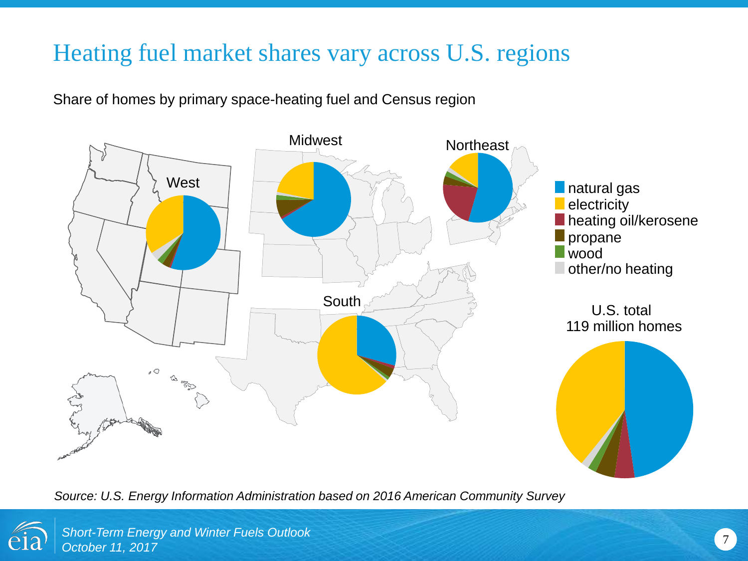### Heating fuel market shares vary across U.S. regions

Share of homes by primary space-heating fuel and Census region



*Source: U.S. Energy Information Administration based on 2016 American Community Survey*

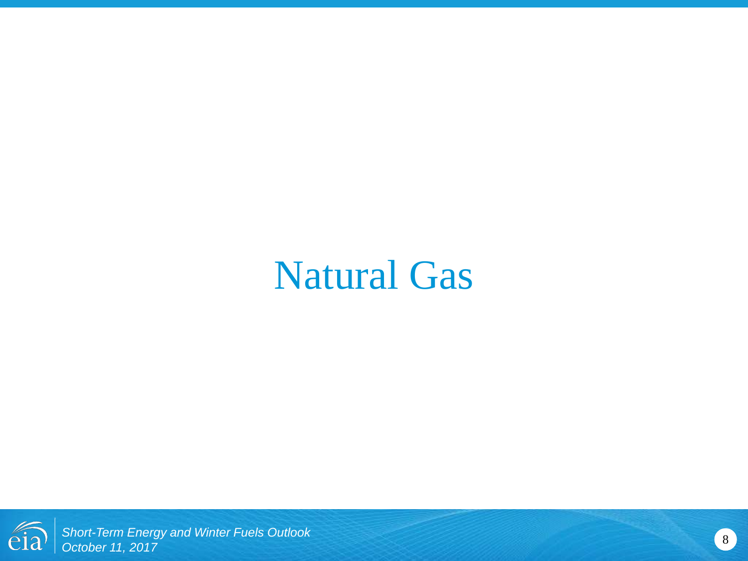## Natural Gas

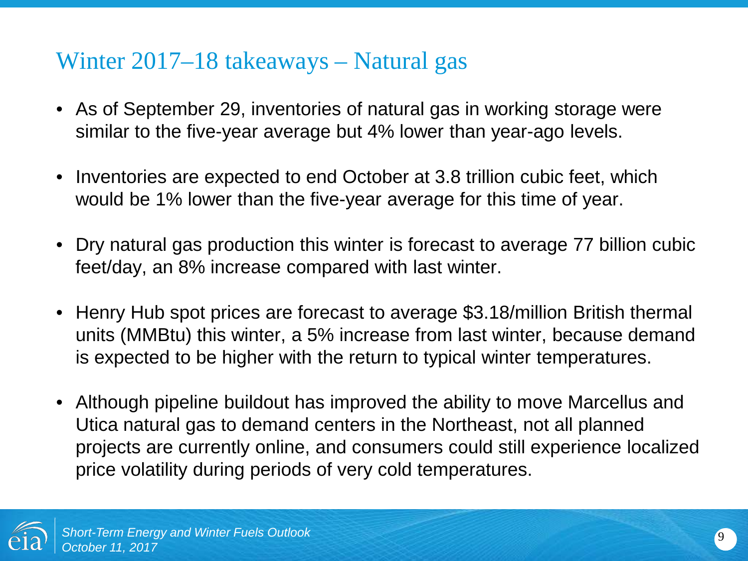#### Winter 2017–18 takeaways – Natural gas

- As of September 29, inventories of natural gas in working storage were similar to the five-year average but 4% lower than year-ago levels.
- Inventories are expected to end October at 3.8 trillion cubic feet, which would be 1% lower than the five-year average for this time of year.
- Dry natural gas production this winter is forecast to average 77 billion cubic feet/day, an 8% increase compared with last winter.
- Henry Hub spot prices are forecast to average \$3.18/million British thermal units (MMBtu) this winter, a 5% increase from last winter, because demand is expected to be higher with the return to typical winter temperatures.
- Although pipeline buildout has improved the ability to move Marcellus and Utica natural gas to demand centers in the Northeast, not all planned projects are currently online, and consumers could still experience localized price volatility during periods of very cold temperatures.

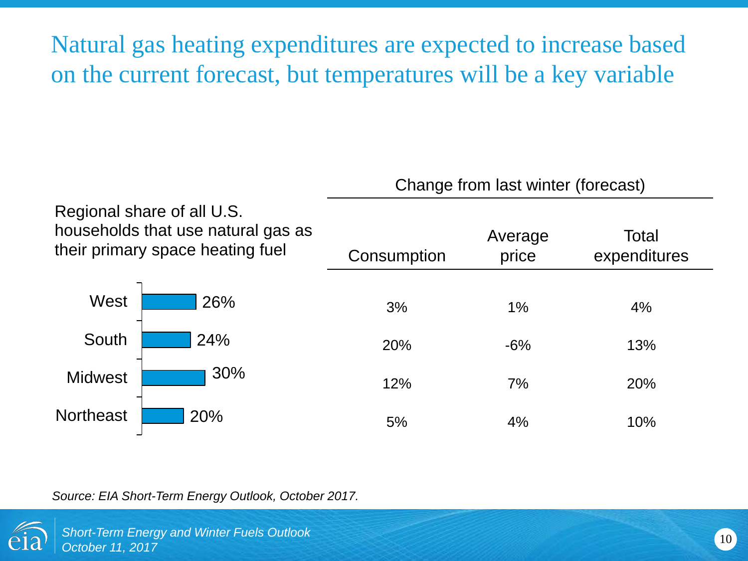Natural gas heating expenditures are expected to increase based on the current forecast, but temperatures will be a key variable

|                  |                                                                                                      | Change from last winter (forecast) |                  |                       |
|------------------|------------------------------------------------------------------------------------------------------|------------------------------------|------------------|-----------------------|
|                  | Regional share of all U.S.<br>households that use natural gas as<br>their primary space heating fuel | Consumption                        | Average<br>price | Total<br>expenditures |
| West             | 26%                                                                                                  | 3%                                 | $1\%$            | 4%                    |
| South            | 24%                                                                                                  | 20%                                | $-6%$            | 13%                   |
| <b>Midwest</b>   | 30%                                                                                                  | 12%                                | 7%               | 20%                   |
| <b>Northeast</b> | 20%                                                                                                  | 5%                                 | 4%               | 10%                   |

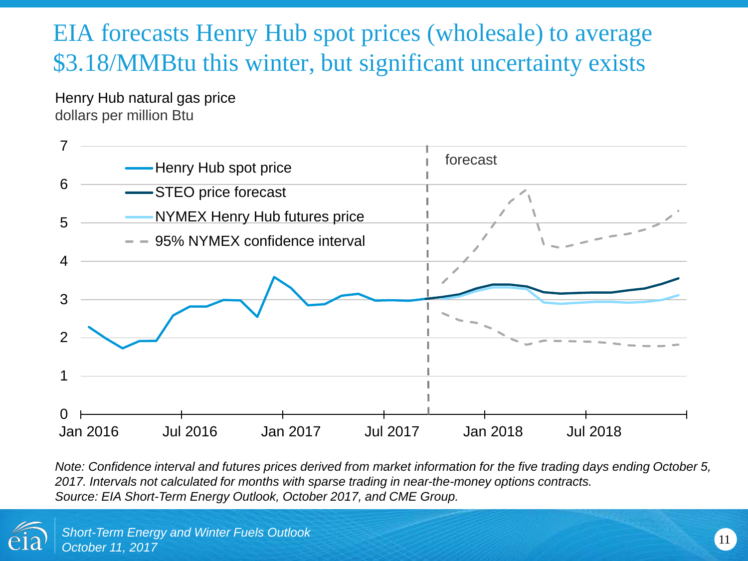## EIA forecasts Henry Hub spot prices (wholesale) to average \$3.18/MMBtu this winter, but significant uncertainty exists

Henry Hub natural gas price dollars per million Btu



*Note: Confidence interval and futures prices derived from market information for the five trading days ending October 5, 2017. Intervals not calculated for months with sparse trading in near-the-money options contracts. Source: EIA Short-Term Energy Outlook, October 2017, and CME Group.* 

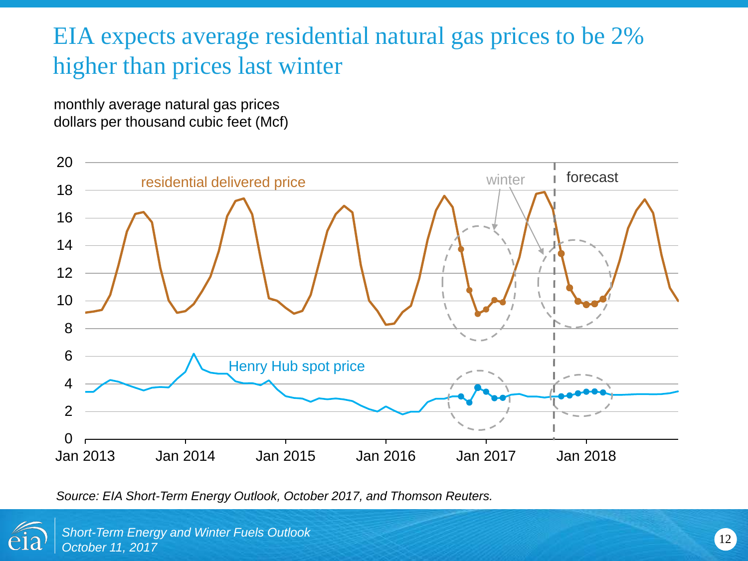## EIA expects average residential natural gas prices to be 2% higher than prices last winter

monthly average natural gas prices dollars per thousand cubic feet (Mcf)



*Source: EIA Short-Term Energy Outlook, October 2017, and Thomson Reuters.*

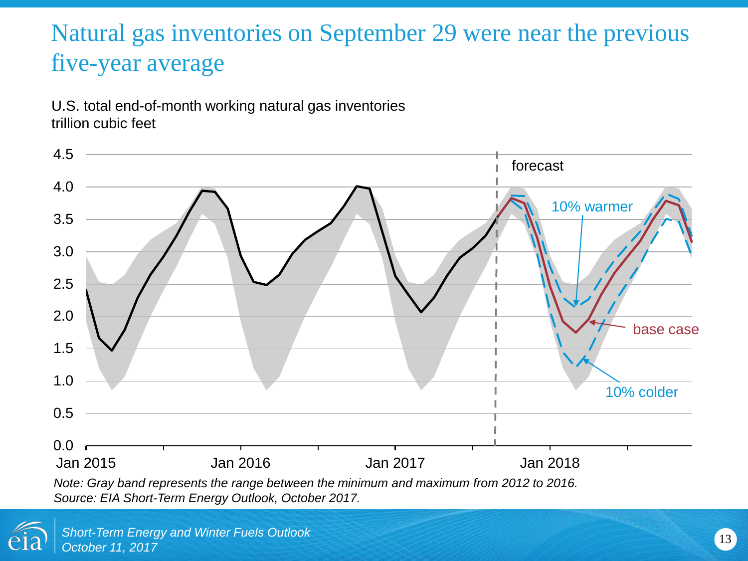## Natural gas inventories on September 29 were near the previous five-year average

U.S. total end-of-month working natural gas inventories trillion cubic feet



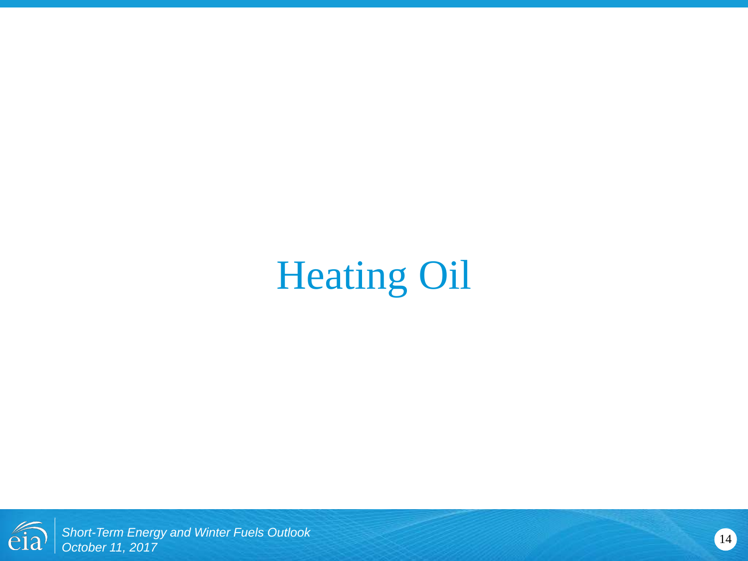# Heating Oil

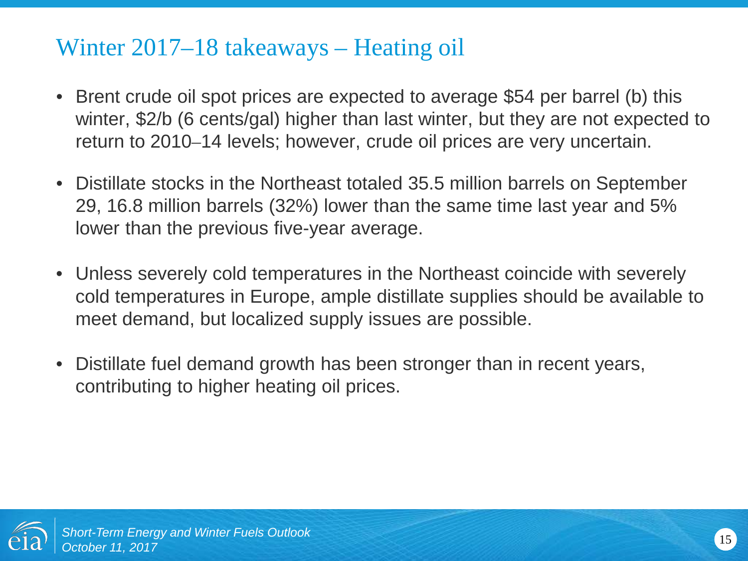#### Winter 2017–18 takeaways – Heating oil

- Brent crude oil spot prices are expected to average \$54 per barrel (b) this winter, \$2/b (6 cents/gal) higher than last winter, but they are not expected to return to 2010*–*14 levels; however, crude oil prices are very uncertain.
- Distillate stocks in the Northeast totaled 35.5 million barrels on September 29, 16.8 million barrels (32%) lower than the same time last year and 5% lower than the previous five-year average.
- Unless severely cold temperatures in the Northeast coincide with severely cold temperatures in Europe, ample distillate supplies should be available to meet demand, but localized supply issues are possible.
- Distillate fuel demand growth has been stronger than in recent years, contributing to higher heating oil prices.

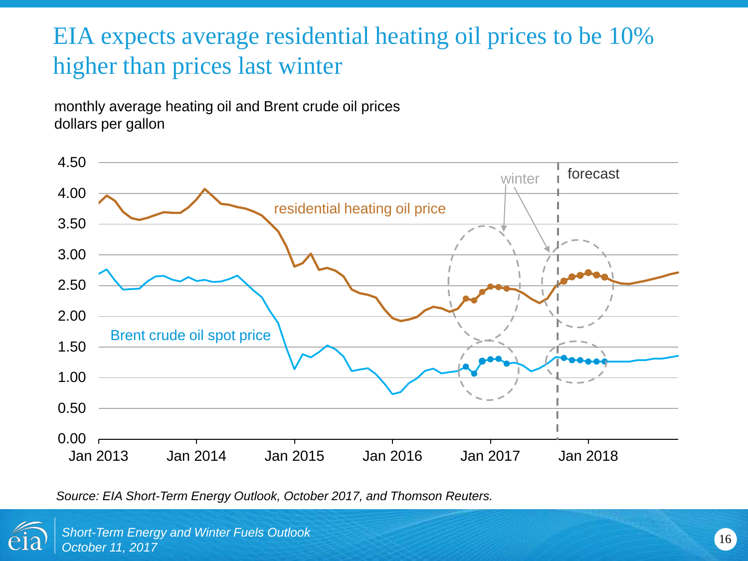## EIA expects average residential heating oil prices to be 10% higher than prices last winter

monthly average heating oil and Brent crude oil prices dollars per gallon



*Source: EIA Short-Term Energy Outlook, October 2017, and Thomson Reuters.*

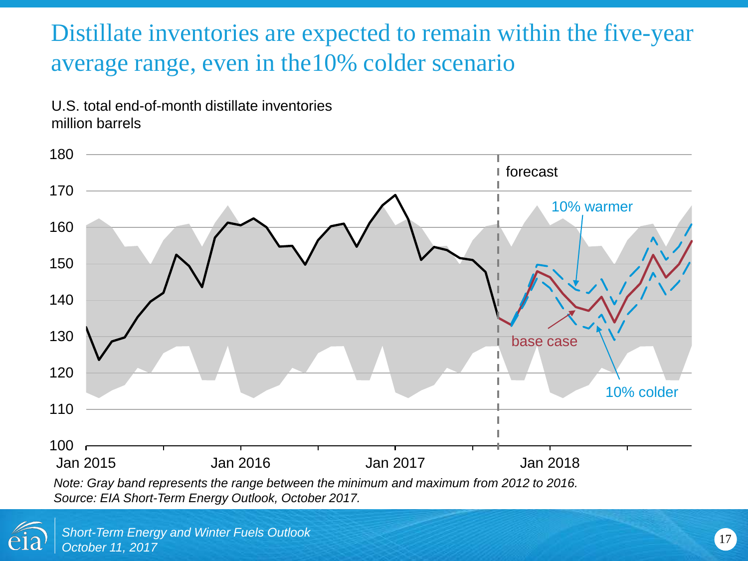## Distillate inventories are expected to remain within the five-year average range, even in the10% colder scenario

U.S. total end-of-month distillate inventories million barrels



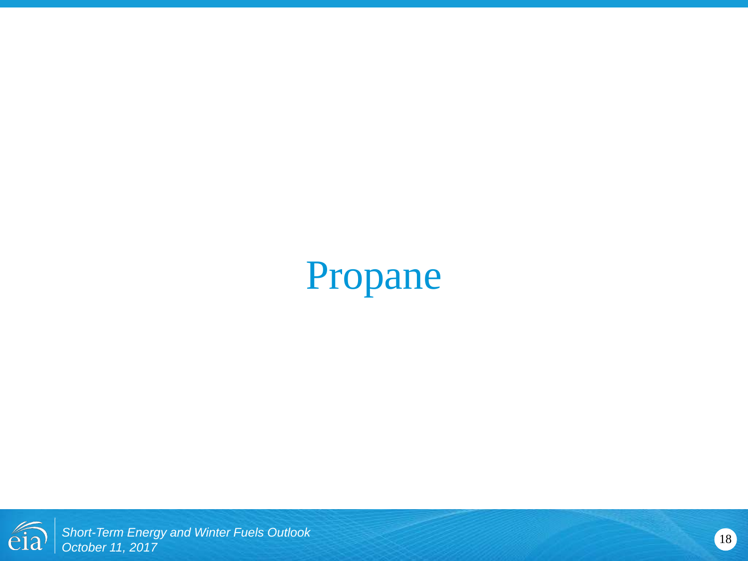## Propane

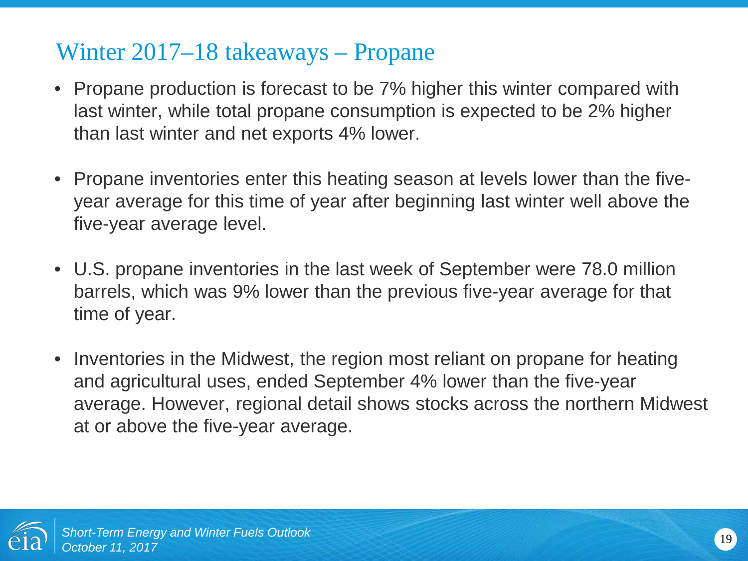#### Winter 2017–18 takeaways – Propane

- Propane production is forecast to be 7% higher this winter compared with last winter, while total propane consumption is expected to be 2% higher than last winter and net exports 4% lower.
- Propane inventories enter this heating season at levels lower than the fiveyear average for this time of year after beginning last winter well above the five-year average level.
- U.S. propane inventories in the last week of September were 78.0 million barrels, which was 9% lower than the previous five-year average for that time of year.
- Inventories in the Midwest, the region most reliant on propane for heating and agricultural uses, ended September 4% lower than the five-year average. However, regional detail shows stocks across the northern Midwest at or above the five-year average.

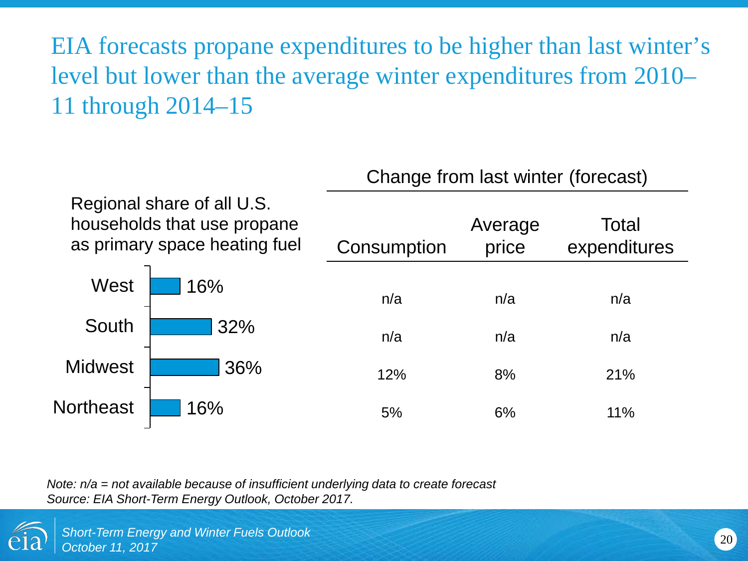EIA forecasts propane expenditures to be higher than last winter's level but lower than the average winter expenditures from 2010*–* 11 through 2014*–*15

|                  |                                                                                            | Change from last winter (forecast) |                  |                       |
|------------------|--------------------------------------------------------------------------------------------|------------------------------------|------------------|-----------------------|
|                  | Regional share of all U.S.<br>households that use propane<br>as primary space heating fuel | Consumption                        | Average<br>price | Total<br>expenditures |
| West             | 16%                                                                                        | n/a                                | n/a              | n/a                   |
| South            | 32%                                                                                        | n/a                                | n/a              | n/a                   |
| <b>Midwest</b>   | 36%                                                                                        | 12%                                | 8%               | 21%                   |
| <b>Northeast</b> | 16%                                                                                        | 5%                                 | 6%               | 11%                   |

*Note: n/a = not available because of insufficient underlying data to create forecast Source: EIA Short-Term Energy Outlook, October 2017.*

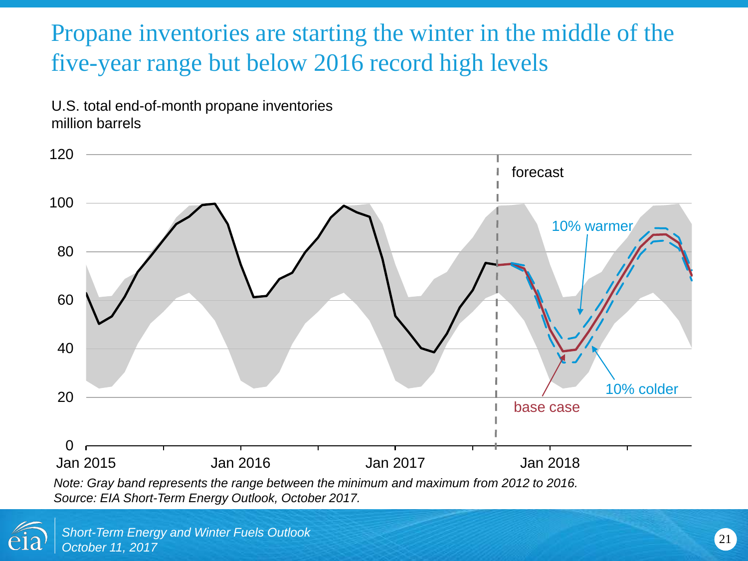## Propane inventories are starting the winter in the middle of the five-year range but below 2016 record high levels

U.S. total end-of-month propane inventories million barrels



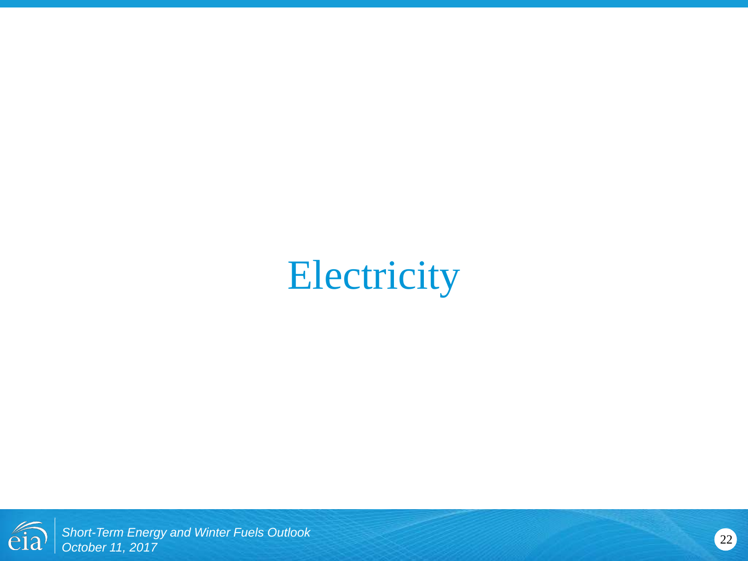## **Electricity**

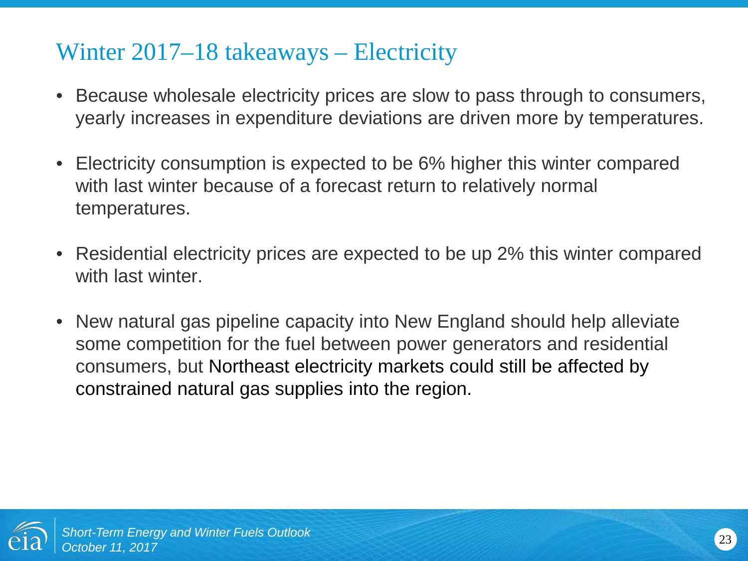#### Winter 2017–18 takeaways – Electricity

- Because wholesale electricity prices are slow to pass through to consumers, yearly increases in expenditure deviations are driven more by temperatures.
- Electricity consumption is expected to be 6% higher this winter compared with last winter because of a forecast return to relatively normal temperatures.
- Residential electricity prices are expected to be up 2% this winter compared with last winter.
- New natural gas pipeline capacity into New England should help alleviate some competition for the fuel between power generators and residential consumers, but Northeast electricity markets could still be affected by constrained natural gas supplies into the region.

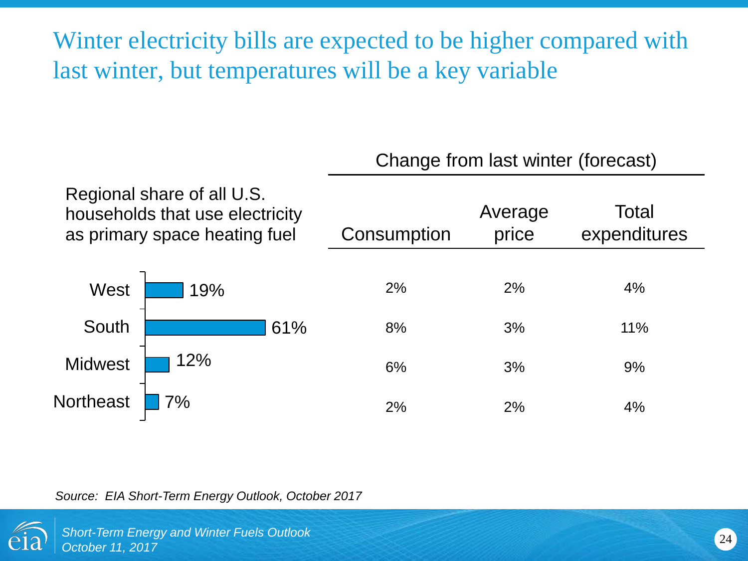Winter electricity bills are expected to be higher compared with last winter, but temperatures will be a key variable

Change from last winter (forecast)

|                  |                                                                                                | Grange from last winter (forecast) |                  |                       |
|------------------|------------------------------------------------------------------------------------------------|------------------------------------|------------------|-----------------------|
|                  | Regional share of all U.S.<br>households that use electricity<br>as primary space heating fuel | Consumption                        | Average<br>price | Total<br>expenditures |
| West             | 19%                                                                                            | 2%                                 | 2%               | 4%                    |
| South            | 61%                                                                                            | 8%                                 | 3%               | 11%                   |
| <b>Midwest</b>   | 12%                                                                                            | 6%                                 | 3%               | 9%                    |
| <b>Northeast</b> | 7%                                                                                             | 2%                                 | 2%               | 4%                    |

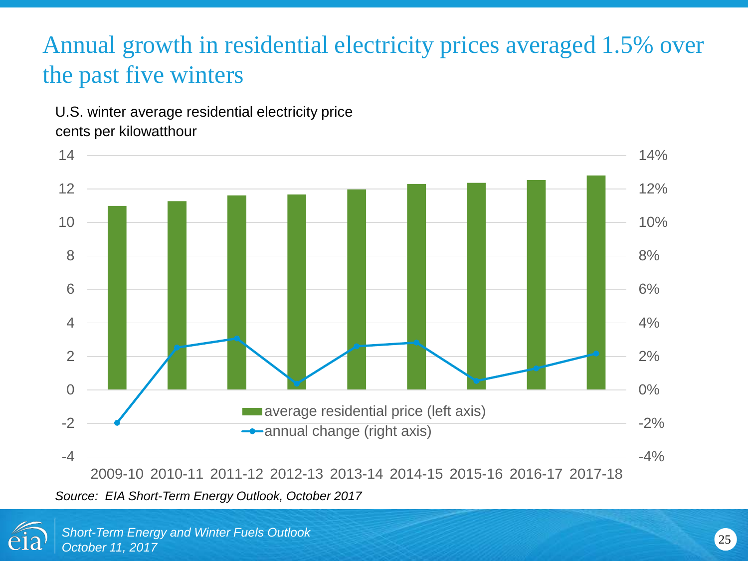## Annual growth in residential electricity prices averaged 1.5% over the past five winters

U.S. winter average residential electricity price cents per kilowatthour